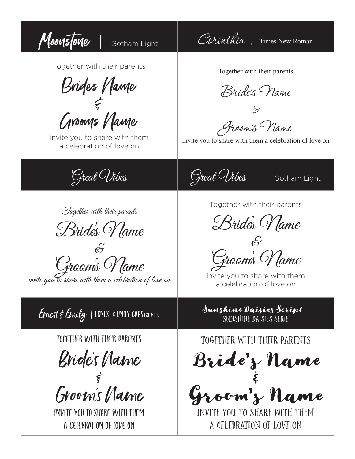Moonstone | Gotham Light | Corinthia | Times New Roman Together with their parents Brides Name & Grooms Vlame invite you to share with them a celebration of love on Together with their parents Bride's Name & Groom's Name invite you to share with them a celebration of love on Great Wibes Great Wibes Gotham Light Together with their parents Bride's Name &<br>Groom's Name invite you to share with them a celebration of love on Together with their parents Bride's Name  $\mathscr{E}$ Groom's Name invite you to share with them a celebration of love on Ernest & Emily | ERNEST & EMILY CAPS EXTENDED Sunshine Daisies Script | Sunshine Daisies serif Together with their parents Bride's Name ر<br>مج Groom's Name invite you to share with them a celebration of love on Together with their parents Bride's Name & Groom's Name invite you to share with them a celebration of love on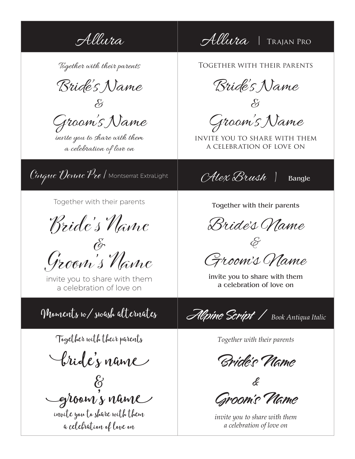Allura Allura TRAJAN PRO

Together with their parents

Bride's Name

&

Groom's Name

invite you to share with them a celebration of love on

 $C$ inque Donne Pro / Montserrat ExtraLight  $CHex$   $B$ rush | Bangle

Together with their parents

Bride's Name

 $\bigcirc$ Groom's Name

invite you to share with them a celebration of love on

Together with their parents

bride's name

 $\&$ groom's name

invite you to share with them a celebration of love on

Together with their parents

Bride's Name

& Groom's Name

invite you to share with them a celebration of love on

Together with their parents

Bride's Name  $\mathscr{E}$ 

Groom's Name

invite you to share with them a celebration of love on

Moments w/ swash alternates Alpine Script | *Book Antiqua Italic*

*Together with their parents* 

Bride's Name

& Groom's Name

*invite you to share with them a celebration of love on*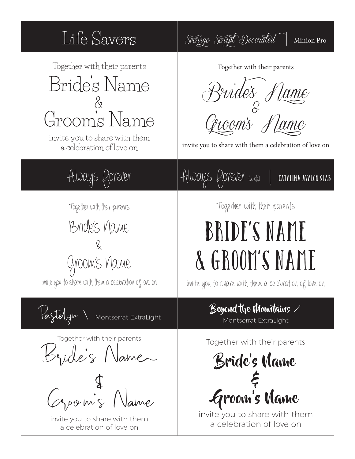#### Life Savers *Sverige Script Decorated* | Minion Pro Together with their parents Bride's Name & Groom's Name invite you to share with them a celebration of love on Together with their parents *Bride's Name & Groom's Name*  invite you to share with them a celebration of love on Always Rorever | Always Rorever (wide) | catalina avalon slab Together with their parents Bride's Name & Groom's Name invite you to share with them a celebration of love on Together with their parents Bride's Name & Groom's Name invite you to share with them a celebration of love on Pastelyn \ Montserrat ExtraLight Beyond the Mountains / Montserrat ExtraLight Together with their parents Bride's Name  $Q_{\text{power}}$   $\oint$  Name invite you to share with them a celebration of love on Together with their parents Bride's Name & Groom's Name invite you to share with them a celebration of love on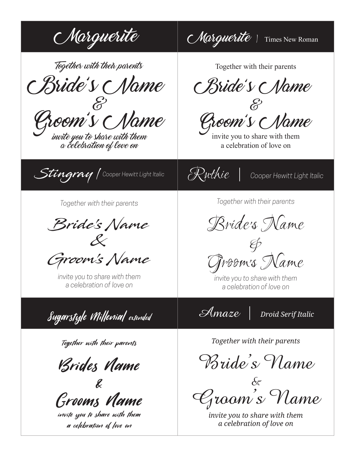$\mathcal{M}$ arguerite  $\mathcal{M}$ Aarguerite | Times New Roman

Together with their parents

Bride's Name  $\sigma$ 

 $G$ r $\mathcal O\mathcal O\mathcal W$ invite you to share with them  $\mathcal O$ 

invite you to share with them<br>a celebration of love on



*Together with their parents* 

Bride's Name &

Groom's Name

*invite you to share with them a celebration of love on*



Together with their parents

Brides Name

& Grooms Name

invite you to share with them a celebration of love on

Together with their parents

Bride's Name

& Groom's Name

invite you to share with them a celebration of love on

*Together with their parents* 

Bride's Name

& Groom's Name

*invite you to share with them a celebration of love on*

*Together with their parents* 

Bride's Name

 $\&$ Groom's Name

*invite you to share with them a celebration of love on*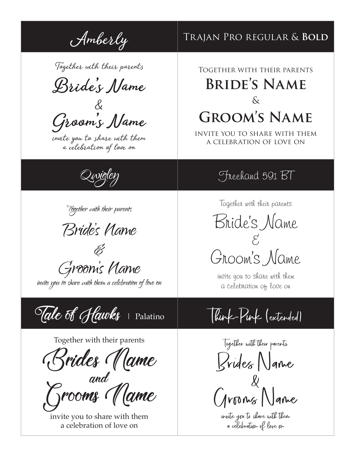Together with their parents

**Bride's Name** 

& **Groom's Name** 

invite you to share with them a celebration of love on



Bride's Name

 $\overleftrightarrow{\mathscr{C}}$ Groom's Name

invite you to share with them a celebration of love on

Tale of Hawks Palatino Think-Pink (extended)

Together with their parents

Brides Name

and<br>Grooms *Mame* 

invite you to share with them a celebration of love on

# Amberly TRAJAN PRO REGULAR & **BOLD**

## Together with their parents **Bride's Name**   $\delta$ **Groom's Name**

invite you to share with them a celebration of love on

### Theehand 591 BT

Together with their parents

Bride's Name  $\mathcal{E}'$ Groom's Name

invite you to share with them a celebration of love on

Together with their parents Brides Name  $\&$ Grooms Name

invite you to share with them a celebration of love on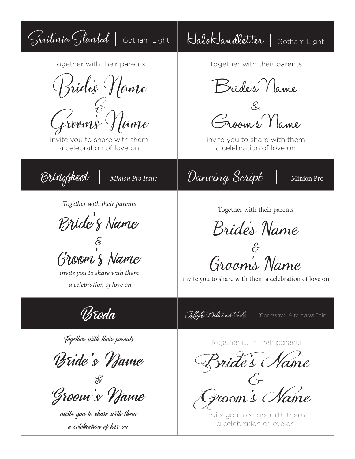Sweitenia Slanted | Gotham Light | HaloKandletter | Gotham Light Together with their parents Bride's Name Groom's Name invite you to share with them a celebration of love on Together with their parents Bride's Name & Groom's Name invite you to share with them a celebration of love on Bringshoot | *Minion Pro Italic* Dancing Script | Minion Pro *Together with their parents*  Bride's Name  $\widetilde{\mathcal{E}}$ Groom's Name *invite you to share with them a celebration of love on* Together with their parents Bride's Name  $\mathscr{E}% _{M_{1},M_{2}}^{\alpha,\beta}(\varepsilon)$ Groom's Name invite you to share with them a celebration of love on **Broda** Jellyka Delicious Cake | Montserret Alternates Thin Together with their parents Bride's Name & Groom's Name invite you to share with them a celebration of love on Together with their parents Bride's Name  $\acute{G}$ Groom's Name invite you to share with them a celebration of love on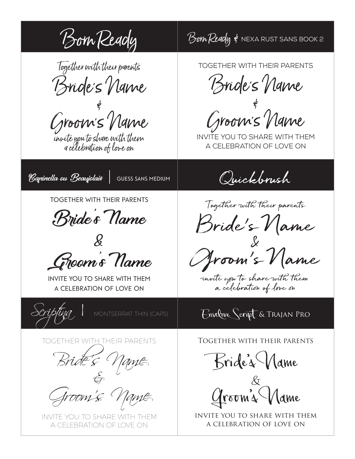Born Ready Bom Ready & NEXA RUST SANS BOOK 2 Together with their parents Bride's Name **کے**<br>آ Groom's Name invite you to share with them a celebration of love on Together with their parents Bride's Name & Groom's Name invite you to share with them a celebration of love on Capinella ou Beaujolais | Guess sans medium Quickbrush Together with their parents Bride's Name  $\mathcal{L}$ Groom's Name invite you to share with them a celebration of love on Together with their parents Bride's Name  $\chi$ Groom's Name invite you to share with them a celebration of love on MONTSERRAT THIN (CAPS)  $\qquad$  Envelove Script & Trajan Pro TOGETHER WITH THEIR PARENTS Bride's name Groom's Name INVITE YOU TO SHARE WITH THEM A CELEBRATION OF LOVE ON Together with their parents Bride's Name  $\&$ Groom's Mame invite you to share with them a celebration of love on